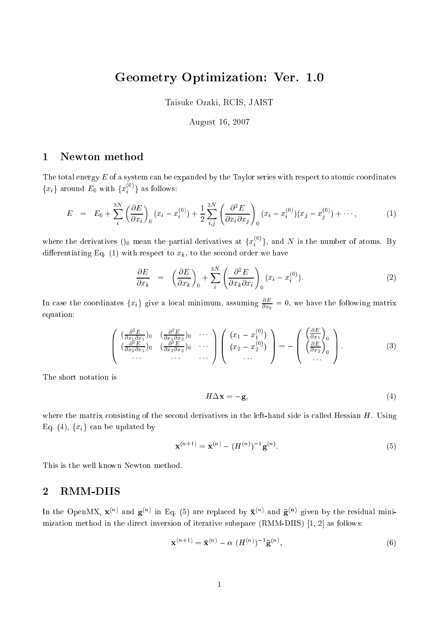# Geometry Optimization: Ver. 1.0

Taisuke Ozaki, RCIS, JAIST

### August 16, 2007

## Newton method

The total energy  $E$  of a system can be expanded by the Taylor series with respect to atomic coordinates  $\{x_i\}$  around  $E_0$  with  $\{x_i^{*l}\}*$  as follows:

$$
E = E_0 + \sum_{i}^{3N} \left( \frac{\partial E}{\partial x_i} \right)_0 (x_i - x_i^{(0)}) + \frac{1}{2} \sum_{i,j}^{3N} \left( \frac{\partial^2 E}{\partial x_i \partial x_j} \right)_0 (x_i - x_i^{(0)}) (x_j - x_j^{(0)}) + \cdots,
$$
(1)

where the derivatives ()<sub>0</sub> mean the partial derivatives at  $\{x_i^{\times}\}\}$ , and N is the number of atoms. By differentiating Eq. (1) with respect to  $x_k$ , to the second order we have

$$
\frac{\partial E}{\partial x_k} = \left(\frac{\partial E}{\partial x_k}\right)_0 + \sum_i^3 \left(\frac{\partial^2 E}{\partial x_k \partial x_i}\right)_0 (x_i - x_i^{(0)}).
$$
\n(2)

In case the coordinates  $\{x_i\}$  give a local minimum, assuming  $\frac{1}{\partial x_k} = 0$ , we have the following matrix equation:

$$
\begin{pmatrix}\n\left(\frac{\partial^2 E}{\partial x_1 \partial x_1}\right)_0 & \left(\frac{\partial^2 E}{\partial x_1 \partial x_2}\right)_0 & \cdots \\
\left(\frac{\partial^2 E}{\partial x_2 \partial x_1}\right)_0 & \left(\frac{\partial^2 E}{\partial x_2 \partial x_2}\right)_0 & \cdots \\
\cdots & \cdots & \cdots\n\end{pmatrix}\n\begin{pmatrix}\n(x_1 - x_1^{(0)}) \\
(x_2 - x_2^{(0)}) \\
\cdots\n\end{pmatrix} = - \begin{pmatrix}\n\left(\frac{\partial E}{\partial x_1}\right)_0 \\
\left(\frac{\partial E}{\partial x_2}\right)_0 \\
\cdots\n\end{pmatrix}.
$$
\n(3)

The short notation is

$$
H\Delta \mathbf{x} = -\mathbf{g},\tag{4}
$$

where the matrix consisting of the second derivatives in the left-hand side is called Hessian  $H$ . Using Eq. (4),  $\{x_i\}$  can be updated by

$$
\mathbf{x}^{(n+1)} = \mathbf{x}^{(n)} - (H^{(n)})^{-1} \mathbf{g}^{(n)}.
$$
 (5)

This is the well known Newton method.

#### 2RMM-DIIS

In the OpenM $X$ ,  $X$   $^{\circ}$  and  $g$   $^{\circ}$  in Eq. (5) are replaced by  $X$   $^{\circ}$  and  $g$   $^{\circ}$   $^{\circ}$  given by the residual minimization method in the direct inversion of iterative subspace (RMM-DIIS)  $[1, 2]$  as follows:

$$
\mathbf{x}^{(n+1)} = \overline{\mathbf{x}}^{(n)} - \alpha \ (H^{(n)})^{-1} \overline{\mathbf{g}}^{(n)},\tag{6}
$$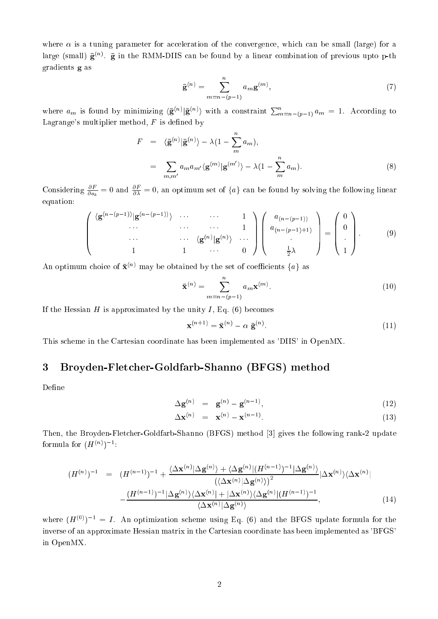where  $\alpha$  is a tuning parameter for acceleration of the convergence, which can be small (large) for a  $\arg e$  (small)  $\mathbf{g}^{\scriptscriptstyle{(n)}}$ .  $\mathbf{g}$  in the RMM-DIIS can be found by a linear combination of previous upto p-th gradients <sup>g</sup> as

$$
\mathbf{\bar{g}}^{(n)} = \sum_{m=n-(p-1)}^{n} a_m \mathbf{g}^{(m)},
$$
\n(7)

where  $a_m$  is found by minimizing  $\langle \bar{\mathbf{g}}^{(n)} | \bar{\mathbf{g}}^{(n)} \rangle$  with a constraint  $\sum_{m=n-(p-1)}^{n} a_m = 1$ . According to Lagrange's multiplier method,  $F$  is defined by

$$
F = \langle \bar{\mathbf{g}}^{(n)} | \bar{\mathbf{g}}^{(n)} \rangle - \lambda (1 - \sum_{m}^{n} a_m),
$$
  

$$
= \sum_{m,m'} a_m a_{m'} \langle \mathbf{g}^{(m)} | \mathbf{g}^{(m')} \rangle - \lambda (1 - \sum_{m}^{n} a_m).
$$
 (8)

Considering  $\frac{\partial a_k}{\partial a_k} = 0$  and  $\frac{\partial}{\partial \lambda} = 0$ , an optimum set of  $\{a\}$  can be found by solving the following linear equation:

$$
\begin{pmatrix}\n\langle \mathbf{g}^{(n-(p-1))} | \mathbf{g}^{(n-(p-1))} \rangle & \cdots & \cdots & 1 \\
\cdots & \cdots & \cdots & \cdots & 1 \\
\cdots & \cdots & \langle \mathbf{g}^{(n)} | \mathbf{g}^{(n)} \rangle & \cdots \\
1 & 1 & \cdots & 0\n\end{pmatrix}\n\begin{pmatrix}\na_{(n-(p-1))} \\
a_{(n-(p-1)+1)} \\
\vdots \\
\frac{1}{2}\lambda\n\end{pmatrix} = \begin{pmatrix}\n0 \\
0 \\
\vdots \\
1\n\end{pmatrix}.
$$
\n(9)

An optimum choice of  $\bar{\mathbf{x}}^{(n)}$  may be obtained by the set of coefficients  $\{a\}$  as

$$
\bar{\mathbf{x}}^{(n)} = \sum_{m=n-(p-1)}^{n} a_m \mathbf{x}^{(m)}.
$$
\n(10)

If the Hessian  $H$  is approximated by the unity  $I$ , Eq. (6) becomes

$$
\mathbf{x}^{(n+1)} = \bar{\mathbf{x}}^{(n)} - \alpha \ \bar{\mathbf{g}}^{(n)}.
$$
 (11)

This s
heme in the Cartesian oordinate has been implemented as 'DIIS' in OpenMX.

#### 3Broyden-Flet
her-Goldfarb-Shanno (BFGS) method

Define

$$
\Delta \mathbf{g}^{(n)} = \mathbf{g}^{(n)} - \mathbf{g}^{(n-1)}, \tag{12}
$$

$$
\Delta \mathbf{x}^{(n)} = \mathbf{x}^{(n)} - \mathbf{x}^{(n-1)}.
$$
\n(13)

Then, the Broyden-Fletcher-Goldfarb-Shanno (BFGS) method [3] gives the following rank-2 update formula for  $(H\vee)/\neg$ :

$$
(H^{(n)})^{-1} = (H^{(n-1)})^{-1} + \frac{\langle \Delta \mathbf{x}^{(n)} | \Delta \mathbf{g}^{(n)} \rangle + \langle \Delta \mathbf{g}^{(n)} | (H^{(n-1)})^{-1} | \Delta \mathbf{g}^{(n)} \rangle}{\langle \langle \Delta \mathbf{x}^{(n)} | \Delta \mathbf{g}^{(n)} \rangle \rangle^2} |\Delta \mathbf{x}^{(n)} \rangle \langle \Delta \mathbf{x}^{(n)}|
$$

$$
-\frac{(H^{(n-1)})^{-1} |\Delta \mathbf{g}^{(n)} \rangle \langle \Delta \mathbf{x}^{(n)} | + |\Delta \mathbf{x}^{(n)} \rangle \langle \Delta \mathbf{g}^{(n)} | (H^{(n-1)})^{-1}}{\langle \Delta \mathbf{x}^{(n)} | \Delta \mathbf{g}^{(n)} \rangle}, \qquad (14)
$$

where  $(H^{(0)})^{-1} = I$ . An optimization scheme using Eq. (6) and the BFGS update formula for the inverse of an approximate Hessian matrix in the Cartesian oordinate has been implemented as 'BFGS' in OpenMX.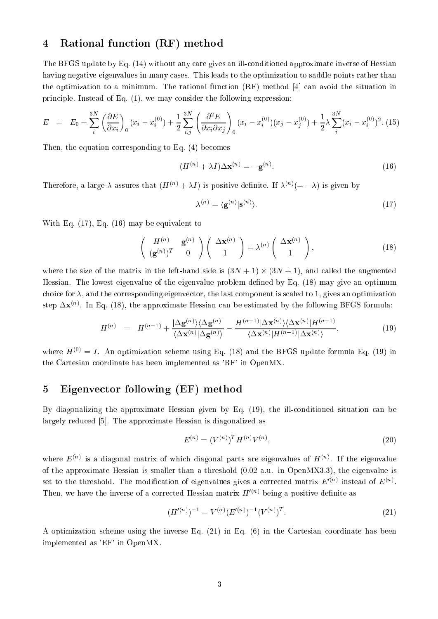#### 4Rational fun
tion (RF) method

The BFGS update by Eq. (14) without any care gives an ill-conditioned approximate inverse of Hessian having negative eigenvalues in many cases. This leads to the optimization to saddle points rather than the optimization to a minimum. The rational function  $(RF)$  method [4] can avoid the situation in principle. Instead of Eq. (1), we may consider the following expression:

$$
E = E_0 + \sum_{i}^{3N} \left(\frac{\partial E}{\partial x_i}\right)_0 (x_i - x_i^{(0)}) + \frac{1}{2} \sum_{i,j}^{3N} \left(\frac{\partial^2 E}{\partial x_i \partial x_j}\right)_0 (x_i - x_i^{(0)})(x_j - x_j^{(0)}) + \frac{1}{2} \lambda \sum_{i}^{3N} (x_i - x_i^{(0)})^2.
$$
 (15)

Then, the equation corresponding to Eq. (4) becomes

$$
(H^{(n)} + \lambda I)\Delta \mathbf{x}^{(n)} = -\mathbf{g}^{(n)}.
$$
\n(16)

Therefore, a large A assures that  $(H \vee \vee + AI)$  is positive definite. If  $A^{\vee\vee}(= -AI)$  is given by

$$
\lambda^{(n)} = \langle \mathbf{g}^{(n)} | \mathbf{s}^{(n)} \rangle. \tag{17}
$$

With Eq. (17), Eq. (16) may be equivalent to

$$
\begin{pmatrix} H^{(n)} & \mathbf{g}^{(n)} \\ (\mathbf{g}^{(n)})^T & 0 \end{pmatrix} \begin{pmatrix} \Delta \mathbf{x}^{(n)} \\ 1 \end{pmatrix} = \lambda^{(n)} \begin{pmatrix} \Delta \mathbf{x}^{(n)} \\ 1 \end{pmatrix}, \tag{18}
$$

where the size of the matrix in the left-hand side is (3N + 1) - (3N + 1), and alled the augmented Hessian. The lowest eigenvalue of the eigenvalue problem defined by Eq. (18) may give an optimum choice for  $\lambda$ , and the corresponding eigenvector, the last component is scaled to 1, gives an optimization step  $\Delta \mathbf{X}^{\alpha\gamma}$ . In Eq. (18), the approximate Hessian can be estimated by the following BFGS formula:

$$
H^{(n)} = H^{(n-1)} + \frac{|\Delta \mathbf{g}^{(n)}\rangle\langle \Delta \mathbf{g}^{(n)}|}{\langle \Delta \mathbf{x}^{(n)}|\Delta \mathbf{g}^{(n)}\rangle} - \frac{H^{(n-1)}|\Delta \mathbf{x}^{(n)}\rangle\langle \Delta \mathbf{x}^{(n)}|H^{(n-1)}}{\langle \Delta \mathbf{x}^{(n)}|H^{(n-1)}|\Delta \mathbf{x}^{(n)}\rangle},\tag{19}
$$

where  $H^{(0)} = I$ . An optimization scheme using Eq. (18) and the BFGS update formula Eq. (19) in the Cartesian oordinate has been implemented as 'RF' in OpenMX.

#### 5Eigenve
tor following (EF) method

By diagonalizing the approximate Hessian given by Eq. (19), the ill-conditioned situation can be largely reduced [5]. The approximate Hessian is diagonalized as

$$
E^{(n)} = (V^{(n)})^T H^{(n)} V^{(n)},
$$
\n(20)

where  $E^{(n)}$  is a diagonal matrix of which diagonal parts are eigenvalues of  $H^{(n)}$ . If the eigenvalue of the approximate Hessian is smaller than a threshold (0.02 a.u. in OpenMX3.3), the eigenvalue is set to the threshold. The modification of eigenvalues gives a corrected matrix  $E^{(n)}$  instead of  $E^{(n)}$ . Then, we have the inverse of a corrected riessian matrix  $H \stackrel{\text{def}}{=}$  being a positive definite as

$$
(H'(n))^{-1} = V^{(n)}(E'(n))^{-1}(V^{(n)})^{T}.
$$
\n(21)

A optimization s
heme using the inverse Eq. (21) in Eq. (6) in the Cartesian oordinate has been implemented as 'EF' in OpenMX.